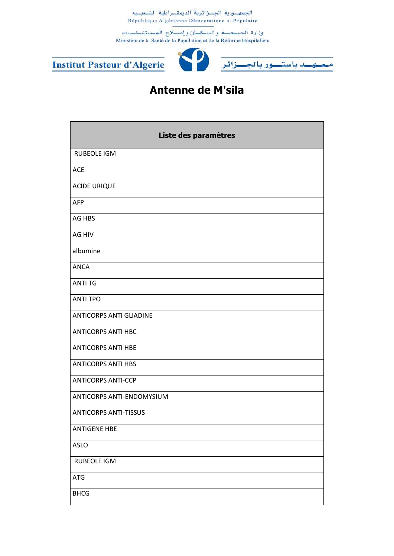الجمه ورية الجسزائرية الديمقراطية الشعبية République Algérienne Démocratique et Populaire

وزارة الحسحـــــة و الســكـــان و إصـــلاح المـــستشــفـــيات<br>Ministère de la Santé de la Population et de la Réforme Hospitalière

**Institut Pasteur d'Algerie** 





## **Antenne de M'sila**

| Liste des paramètres           |
|--------------------------------|
| <b>RUBEOLE IGM</b>             |
| <b>ACE</b>                     |
| <b>ACIDE URIQUE</b>            |
| <b>AFP</b>                     |
| AG HBS                         |
| AG HIV                         |
| albumine                       |
| ANCA                           |
| <b>ANTI TG</b>                 |
| <b>ANTI TPO</b>                |
| <b>ANTICORPS ANTI GLIADINE</b> |
| <b>ANTICORPS ANTI HBC</b>      |
| <b>ANTICORPS ANTI HBE</b>      |
| <b>ANTICORPS ANTI HBS</b>      |
| <b>ANTICORPS ANTI-CCP</b>      |
| ANTICORPS ANTI-ENDOMYSIUM      |
| <b>ANTICORPS ANTI-TISSUS</b>   |
| <b>ANTIGENE HBE</b>            |
| ASLO                           |
| <b>RUBEOLE IGM</b>             |
| ATG                            |
| <b>BHCG</b>                    |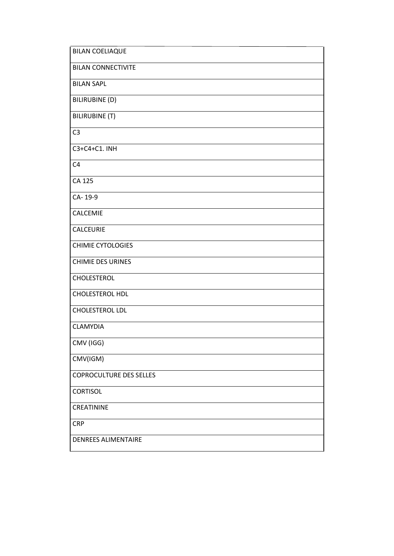| <b>BILAN COELIAQUE</b>         |
|--------------------------------|
| <b>BILAN CONNECTIVITE</b>      |
| <b>BILAN SAPL</b>              |
| <b>BILIRUBINE (D)</b>          |
| <b>BILIRUBINE (T)</b>          |
| C <sub>3</sub>                 |
| C3+C4+C1. INH                  |
| C <sub>4</sub>                 |
| CA 125                         |
| CA-19-9                        |
| CALCEMIE                       |
| CALCEURIE                      |
| <b>CHIMIE CYTOLOGIES</b>       |
| <b>CHIMIE DES URINES</b>       |
| CHOLESTEROL                    |
| CHOLESTEROL HDL                |
| CHOLESTEROL LDL                |
| CLAMYDIA                       |
| CMV (IGG)                      |
| CMV(IGM)                       |
| <b>COPROCULTURE DES SELLES</b> |
| <b>CORTISOL</b>                |
| CREATININE                     |
| <b>CRP</b>                     |
| <b>DENREES ALIMENTAIRE</b>     |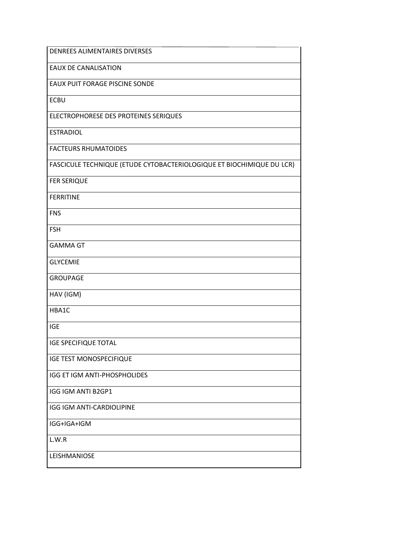| <b>DENREES ALIMENTAIRES DIVERSES</b>                                  |
|-----------------------------------------------------------------------|
| EAUX DE CANALISATION                                                  |
| <b>EAUX PUIT FORAGE PISCINE SONDE</b>                                 |
| <b>ECBU</b>                                                           |
| ELECTROPHORESE DES PROTEINES SERIQUES                                 |
| <b>ESTRADIOL</b>                                                      |
| <b>FACTEURS RHUMATOIDES</b>                                           |
| FASCICULE TECHNIQUE (ETUDE CYTOBACTERIOLOGIQUE ET BIOCHIMIQUE DU LCR) |
| <b>FER SERIQUE</b>                                                    |
| <b>FERRITINE</b>                                                      |
| <b>FNS</b>                                                            |
| <b>FSH</b>                                                            |
| <b>GAMMA GT</b>                                                       |
| <b>GLYCEMIE</b>                                                       |
| <b>GROUPAGE</b>                                                       |
| HAV (IGM)                                                             |
| HBA1C                                                                 |
| <b>IGE</b>                                                            |
| <b>IGE SPECIFIQUE TOTAL</b>                                           |
| <b>IGE TEST MONOSPECIFIQUE</b>                                        |
| IGG ET IGM ANTI-PHOSPHOLIDES                                          |
| IGG IGM ANTI B2GP1                                                    |
| IGG IGM ANTI-CARDIOLIPINE                                             |
| IGG+IGA+IGM                                                           |
| L.W.R                                                                 |
| LEISHMANIOSE                                                          |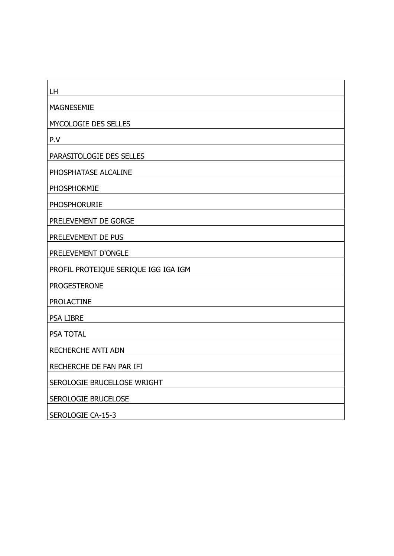| LH                                   |
|--------------------------------------|
| <b>MAGNESEMIE</b>                    |
| MYCOLOGIE DES SELLES                 |
| P.V                                  |
| PARASITOLOGIE DES SELLES             |
| PHOSPHATASE ALCALINE                 |
| <b>PHOSPHORMIE</b>                   |
| <b>PHOSPHORURIE</b>                  |
| PRELEVEMENT DE GORGE                 |
| PRELEVEMENT DE PUS                   |
| PRELEVEMENT D'ONGLE                  |
| PROFIL PROTEIQUE SERIQUE IGG IGA IGM |
| <b>PROGESTERONE</b>                  |
| <b>PROLACTINE</b>                    |
| <b>PSA LIBRE</b>                     |
| <b>PSA TOTAL</b>                     |
| <b>RECHERCHE ANTI ADN</b>            |
| RECHERCHE DE FAN PAR IFI             |
| SEROLOGIE BRUCELLOSE WRIGHT          |
| SEROLOGIE BRUCELOSE                  |
| <b>SEROLOGIE CA-15-3</b>             |